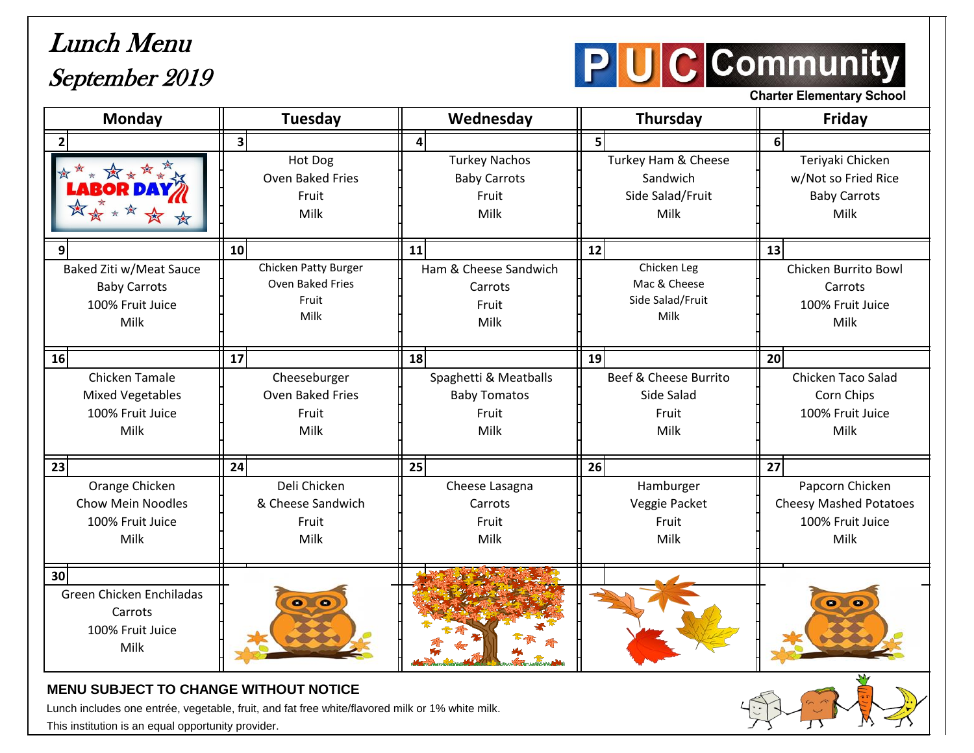## Lunch Menu September 2019



**Charter Elementary School** 

| <b>Monday</b>                                                                      | <b>Tuesday</b>                                            | Wednesday                                                     | Thursday                                                    | <b>Friday</b>                                                                |
|------------------------------------------------------------------------------------|-----------------------------------------------------------|---------------------------------------------------------------|-------------------------------------------------------------|------------------------------------------------------------------------------|
|                                                                                    | 3 <sup>1</sup>                                            | $\overline{4}$                                                | 5 <sup>1</sup>                                              | 6 <sup>1</sup>                                                               |
| ☆☆☆☆☆☆                                                                             | Hot Dog<br>Oven Baked Fries<br>Fruit<br>Milk              | <b>Turkey Nachos</b><br><b>Baby Carrots</b><br>Fruit<br>Milk  | Turkey Ham & Cheese<br>Sandwich<br>Side Salad/Fruit<br>Milk | Teriyaki Chicken<br>w/Not so Fried Rice<br><b>Baby Carrots</b><br>Milk       |
| 9                                                                                  | 10 <sup>1</sup>                                           | 11                                                            | 12                                                          | 13                                                                           |
| Baked Ziti w/Meat Sauce<br><b>Baby Carrots</b><br>100% Fruit Juice<br>Milk         | Chicken Patty Burger<br>Oven Baked Fries<br>Fruit<br>Milk | Ham & Cheese Sandwich<br>Carrots<br>Fruit<br>Milk             | Chicken Leg<br>Mac & Cheese<br>Side Salad/Fruit<br>Milk     | Chicken Burrito Bowl<br>Carrots<br>100% Fruit Juice<br>Milk                  |
| 16                                                                                 | 17                                                        | 18                                                            | 19                                                          | 20 <sup>1</sup>                                                              |
| Chicken Tamale<br><b>Mixed Vegetables</b><br>100% Fruit Juice<br>Milk              | Cheeseburger<br><b>Oven Baked Fries</b><br>Fruit<br>Milk  | Spaghetti & Meatballs<br><b>Baby Tomatos</b><br>Fruit<br>Milk | Beef & Cheese Burrito<br>Side Salad<br>Fruit<br>Milk        | Chicken Taco Salad<br>Corn Chips<br>100% Fruit Juice<br>Milk                 |
| 23                                                                                 | 24                                                        | 25                                                            | 26                                                          | $\overline{27}$                                                              |
| Orange Chicken<br><b>Chow Mein Noodles</b><br>100% Fruit Juice<br>Milk             | Deli Chicken<br>& Cheese Sandwich<br>Fruit<br>Milk        | Cheese Lasagna<br>Carrots<br>Fruit<br>Milk                    | Hamburger<br>Veggie Packet<br>Fruit<br>Milk                 | Papcorn Chicken<br><b>Cheesy Mashed Potatoes</b><br>100% Fruit Juice<br>Milk |
| 30 <sup>1</sup><br>Green Chicken Enchiladas<br>Carrots<br>100% Fruit Juice<br>Milk | $\bullet$                                                 |                                                               |                                                             | $\bullet$                                                                    |

## **MENU SUBJECT TO CHANGE WITHOUT NOTICE**

Lunch includes one entrée, vegetable, fruit, and fat free white/flavored milk or 1% white milk.

This institution is an equal opportunity provider.